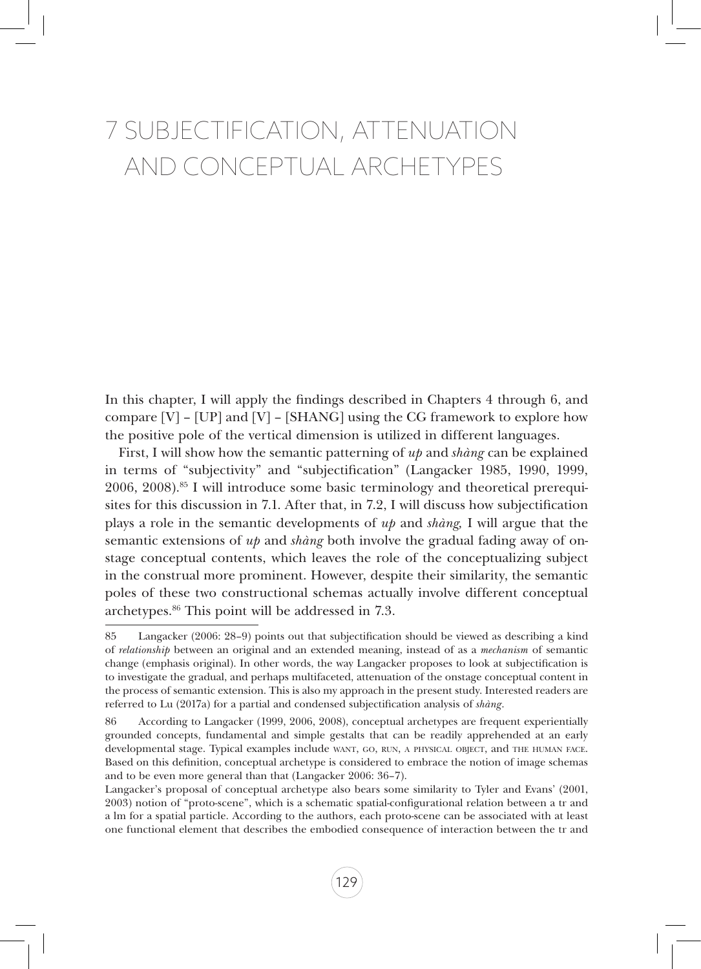# 7 Subjectification, Attenuation and Conceptual Archetypes

In this chapter, I will apply the findings described in Chapters 4 through 6, and compare  $[V]$  –  $[UP]$  and  $[V]$  –  $[SHANG]$  using the CG framework to explore how the positive pole of the vertical dimension is utilized in different languages.

First, I will show how the semantic patterning of *up* and *shàng* can be explained in terms of "subjectivity" and "subjectification" (Langacker 1985, 1990, 1999, 2006, 2008).85 I will introduce some basic terminology and theoretical prerequisites for this discussion in 7.1. After that, in 7.2, I will discuss how subjectification plays a role in the semantic developments of *up* and *shàng,* I will argue that the semantic extensions of *up* and *shàng* both involve the gradual fading away of onstage conceptual contents, which leaves the role of the conceptualizing subject in the construal more prominent. However, despite their similarity, the semantic poles of these two constructional schemas actually involve different conceptual archetypes.86 This point will be addressed in 7.3.

<sup>85</sup> Langacker (2006: 28–9) points out that subjectification should be viewed as describing a kind of *relationship* between an original and an extended meaning, instead of as a *mechanism* of semantic change (emphasis original). In other words, the way Langacker proposes to look at subjectification is to investigate the gradual, and perhaps multifaceted, attenuation of the onstage conceptual content in the process of semantic extension. This is also my approach in the present study. Interested readers are referred to Lu (2017a) for a partial and condensed subjectification analysis of *shàng*.

<sup>86</sup> According to Langacker (1999, 2006, 2008), conceptual archetypes are frequent experientially grounded concepts, fundamental and simple gestalts that can be readily apprehended at an early developmental stage. Typical examples include want, go, run, a physical object, and the human face. Based on this definition, conceptual archetype is considered to embrace the notion of image schemas and to be even more general than that (Langacker 2006: 36–7).

Langacker's proposal of conceptual archetype also bears some similarity to Tyler and Evans' (2001, 2003) notion of "proto-scene", which is a schematic spatial-configurational relation between a tr and a lm for a spatial particle. According to the authors, each proto-scene can be associated with at least one functional element that describes the embodied consequence of interaction between the tr and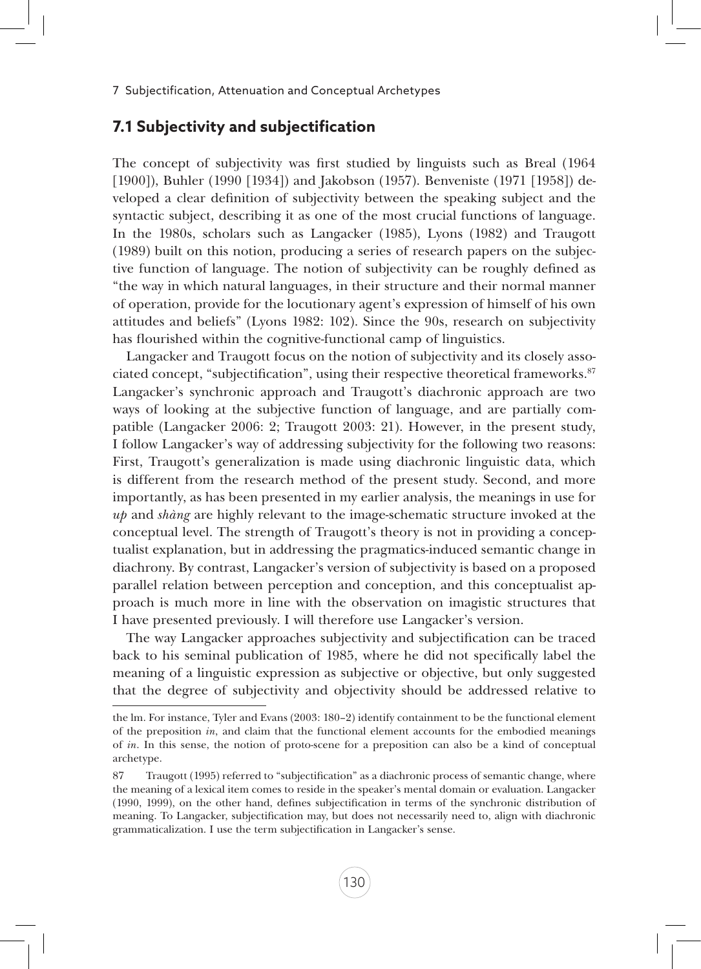#### **7.1 Subjectivity and subjectification**

The concept of subjectivity was first studied by linguists such as Breal (1964 [1900]), Buhler (1990 [1934]) and Jakobson (1957). Benveniste (1971 [1958]) developed a clear definition of subjectivity between the speaking subject and the syntactic subject, describing it as one of the most crucial functions of language. In the 1980s, scholars such as Langacker (1985), Lyons (1982) and Traugott (1989) built on this notion, producing a series of research papers on the subjective function of language. The notion of subjectivity can be roughly defined as "the way in which natural languages, in their structure and their normal manner of operation, provide for the locutionary agent's expression of himself of his own attitudes and beliefs" (Lyons 1982: 102). Since the 90s, research on subjectivity has flourished within the cognitive-functional camp of linguistics.

Langacker and Traugott focus on the notion of subjectivity and its closely associated concept, "subjectification", using their respective theoretical frameworks.87 Langacker's synchronic approach and Traugott's diachronic approach are two ways of looking at the subjective function of language, and are partially compatible (Langacker 2006: 2; Traugott 2003: 21). However, in the present study, I follow Langacker's way of addressing subjectivity for the following two reasons: First, Traugott's generalization is made using diachronic linguistic data, which is different from the research method of the present study. Second, and more importantly, as has been presented in my earlier analysis, the meanings in use for *up* and *shàng* are highly relevant to the image-schematic structure invoked at the conceptual level. The strength of Traugott's theory is not in providing a conceptualist explanation, but in addressing the pragmatics-induced semantic change in diachrony. By contrast, Langacker's version of subjectivity is based on a proposed parallel relation between perception and conception, and this conceptualist approach is much more in line with the observation on imagistic structures that I have presented previously. I will therefore use Langacker's version.

The way Langacker approaches subjectivity and subjectification can be traced back to his seminal publication of 1985, where he did not specifically label the meaning of a linguistic expression as subjective or objective, but only suggested that the degree of subjectivity and objectivity should be addressed relative to

the lm. For instance, Tyler and Evans (2003: 180–2) identify containment to be the functional element of the preposition *in*, and claim that the functional element accounts for the embodied meanings of *in*. In this sense, the notion of proto-scene for a preposition can also be a kind of conceptual archetype.

<sup>87</sup> Traugott (1995) referred to "subjectification" as a diachronic process of semantic change, where the meaning of a lexical item comes to reside in the speaker's mental domain or evaluation. Langacker (1990, 1999), on the other hand, defines subjectification in terms of the synchronic distribution of meaning. To Langacker, subjectification may, but does not necessarily need to, align with diachronic grammaticalization. I use the term subjectification in Langacker's sense.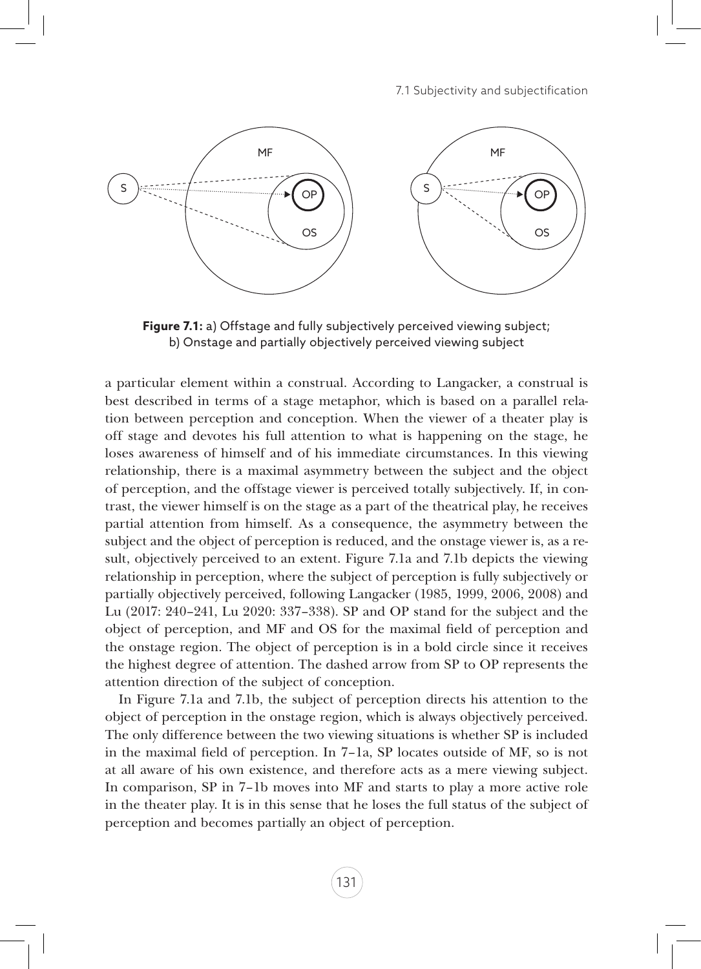

**Figure 7.1:** a) Offstage and fully subjectively perceived viewing subject; b) Onstage and partially objectively perceived viewing subject

a particular element within a construal. According to Langacker, a construal is best described in terms of a stage metaphor, which is based on a parallel relation between perception and conception. When the viewer of a theater play is off stage and devotes his full attention to what is happening on the stage, he loses awareness of himself and of his immediate circumstances. In this viewing relationship, there is a maximal asymmetry between the subject and the object of perception, and the offstage viewer is perceived totally subjectively. If, in contrast, the viewer himself is on the stage as a part of the theatrical play, he receives partial attention from himself. As a consequence, the asymmetry between the subject and the object of perception is reduced, and the onstage viewer is, as a result, objectively perceived to an extent. Figure 7.1a and 7.1b depicts the viewing relationship in perception, where the subject of perception is fully subjectively or partially objectively perceived, following Langacker (1985, 1999, 2006, 2008) and Lu (2017: 240–241, Lu 2020: 337–338). SP and OP stand for the subject and the object of perception, and MF and OS for the maximal field of perception and the onstage region. The object of perception is in a bold circle since it receives the highest degree of attention. The dashed arrow from SP to OP represents the attention direction of the subject of conception.

In Figure 7.1a and 7.1b, the subject of perception directs his attention to the object of perception in the onstage region, which is always objectively perceived. The only difference between the two viewing situations is whether SP is included in the maximal field of perception. In 7–1a, SP locates outside of MF, so is not at all aware of his own existence, and therefore acts as a mere viewing subject. In comparison, SP in 7–1b moves into MF and starts to play a more active role in the theater play. It is in this sense that he loses the full status of the subject of perception and becomes partially an object of perception.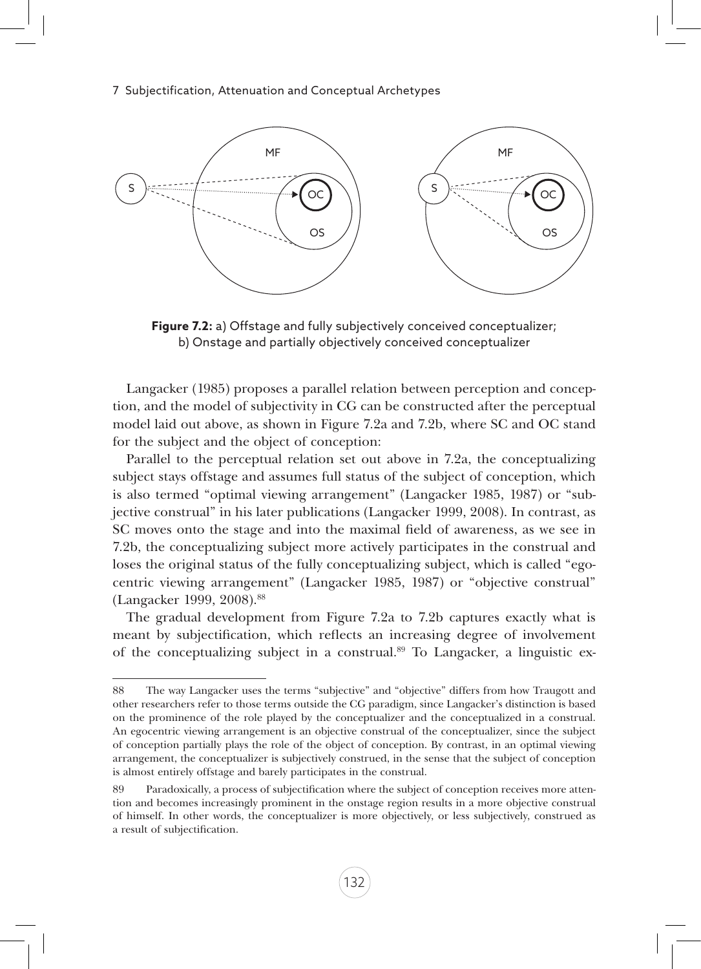

**Figure 7.2:** a) Offstage and fully subjectively conceived conceptualizer; b) Onstage and partially objectively conceived conceptualizer

Langacker (1985) proposes a parallel relation between perception and conception, and the model of subjectivity in CG can be constructed after the perceptual model laid out above, as shown in Figure 7.2a and 7.2b, where SC and OC stand for the subject and the object of conception:

Parallel to the perceptual relation set out above in 7.2a, the conceptualizing subject stays offstage and assumes full status of the subject of conception, which is also termed "optimal viewing arrangement" (Langacker 1985, 1987) or "subjective construal" in his later publications (Langacker 1999, 2008). In contrast, as SC moves onto the stage and into the maximal field of awareness, as we see in 7.2b, the conceptualizing subject more actively participates in the construal and loses the original status of the fully conceptualizing subject, which is called "egocentric viewing arrangement" (Langacker 1985, 1987) or "objective construal" (Langacker 1999, 2008).88

The gradual development from Figure 7.2a to 7.2b captures exactly what is meant by subjectification, which reflects an increasing degree of involvement of the conceptualizing subject in a construal.89 To Langacker, a linguistic ex-

<sup>88</sup> The way Langacker uses the terms "subjective" and "objective" differs from how Traugott and other researchers refer to those terms outside the CG paradigm, since Langacker's distinction is based on the prominence of the role played by the conceptualizer and the conceptualized in a construal. An egocentric viewing arrangement is an objective construal of the conceptualizer, since the subject of conception partially plays the role of the object of conception. By contrast, in an optimal viewing arrangement, the conceptualizer is subjectively construed, in the sense that the subject of conception is almost entirely offstage and barely participates in the construal.

<sup>89</sup> Paradoxically, a process of subjectification where the subject of conception receives more attention and becomes increasingly prominent in the onstage region results in a more objective construal of himself. In other words, the conceptualizer is more objectively, or less subjectively, construed as a result of subjectification.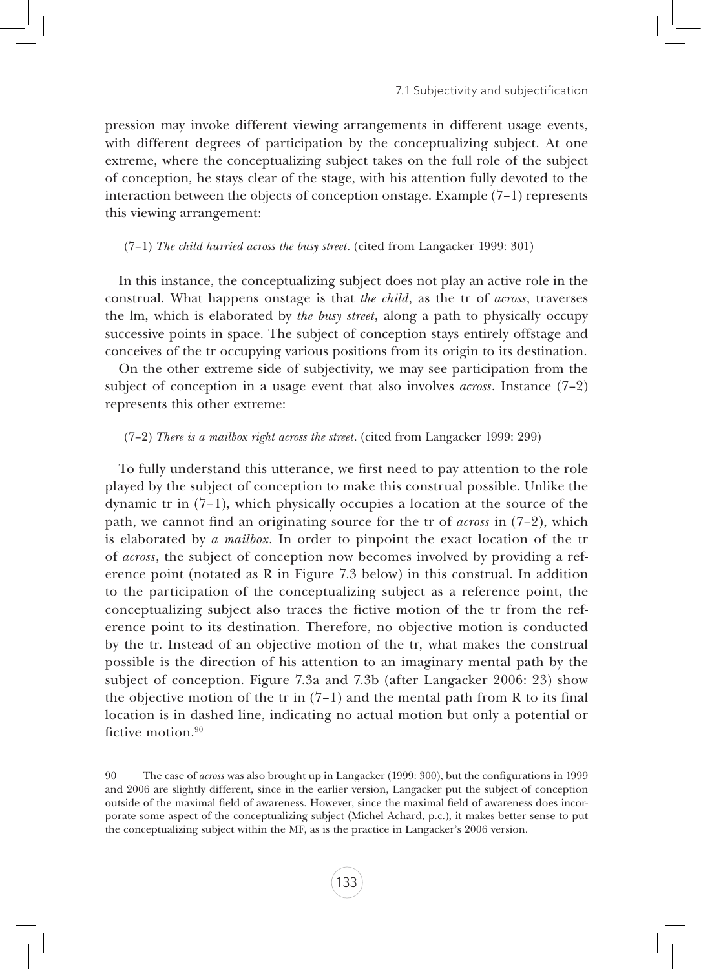pression may invoke different viewing arrangements in different usage events, with different degrees of participation by the conceptualizing subject. At one extreme, where the conceptualizing subject takes on the full role of the subject of conception, he stays clear of the stage, with his attention fully devoted to the interaction between the objects of conception onstage. Example (7–1) represents this viewing arrangement:

(7–1) *The child hurried across the busy street*. (cited from Langacker 1999: 301)

In this instance, the conceptualizing subject does not play an active role in the construal. What happens onstage is that *the child*, as the tr of *across*, traverses the lm, which is elaborated by *the busy street*, along a path to physically occupy successive points in space. The subject of conception stays entirely offstage and conceives of the tr occupying various positions from its origin to its destination.

On the other extreme side of subjectivity, we may see participation from the subject of conception in a usage event that also involves *across*. Instance (7–2) represents this other extreme:

#### (7–2) *There is a mailbox right across the street*. (cited from Langacker 1999: 299)

To fully understand this utterance, we first need to pay attention to the role played by the subject of conception to make this construal possible. Unlike the dynamic tr in (7–1), which physically occupies a location at the source of the path, we cannot find an originating source for the tr of *across* in (7–2), which is elaborated by *a mailbox*. In order to pinpoint the exact location of the tr of *across*, the subject of conception now becomes involved by providing a reference point (notated as R in Figure 7.3 below) in this construal. In addition to the participation of the conceptualizing subject as a reference point, the conceptualizing subject also traces the fictive motion of the tr from the reference point to its destination. Therefore, no objective motion is conducted by the tr. Instead of an objective motion of the tr, what makes the construal possible is the direction of his attention to an imaginary mental path by the subject of conception. Figure 7.3a and 7.3b (after Langacker 2006: 23) show the objective motion of the tr in  $(7-1)$  and the mental path from R to its final location is in dashed line, indicating no actual motion but only a potential or fictive motion.<sup>90</sup>

<sup>90</sup> The case of *across* was also brought up in Langacker (1999: 300), but the configurations in 1999 and 2006 are slightly different, since in the earlier version, Langacker put the subject of conception outside of the maximal field of awareness. However, since the maximal field of awareness does incorporate some aspect of the conceptualizing subject (Michel Achard, p.c.), it makes better sense to put the conceptualizing subject within the MF, as is the practice in Langacker's 2006 version.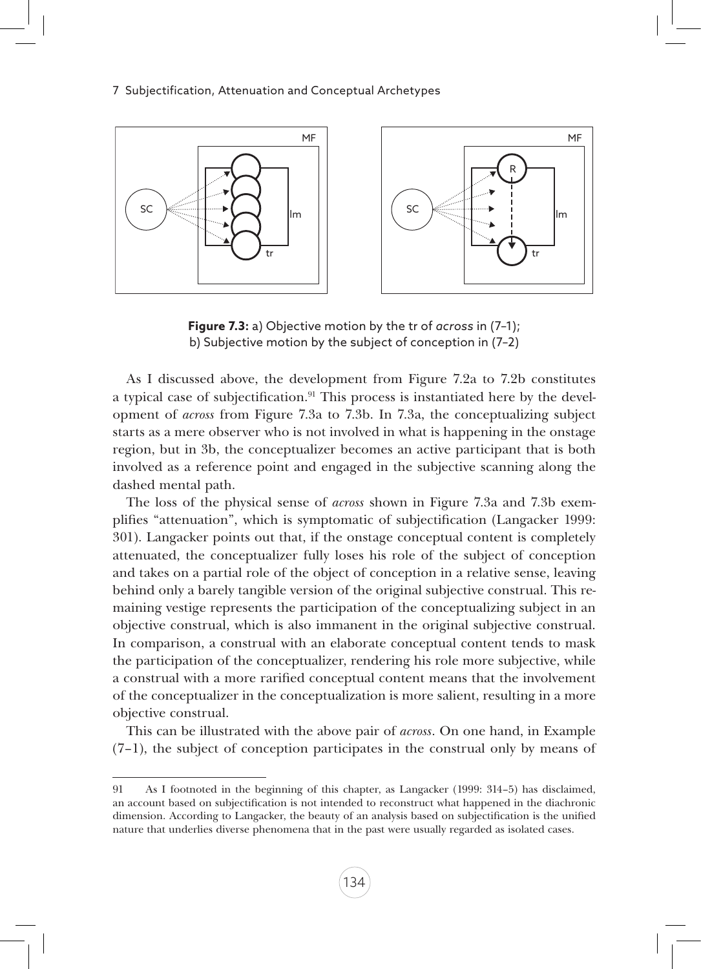

**Figure 7.3:** a) Objective motion by the tr of *across* in (7–1); b) Subjective motion by the subject of conception in (7–2)

As I discussed above, the development from Figure 7.2a to 7.2b constitutes a typical case of subjectification.<sup>91</sup> This process is instantiated here by the development of *across* from Figure 7.3a to 7.3b. In 7.3a, the conceptualizing subject starts as a mere observer who is not involved in what is happening in the onstage region, but in 3b, the conceptualizer becomes an active participant that is both involved as a reference point and engaged in the subjective scanning along the dashed mental path.

The loss of the physical sense of *across* shown in Figure 7.3a and 7.3b exemplifies "attenuation", which is symptomatic of subjectification (Langacker 1999: 301). Langacker points out that, if the onstage conceptual content is completely attenuated, the conceptualizer fully loses his role of the subject of conception and takes on a partial role of the object of conception in a relative sense, leaving behind only a barely tangible version of the original subjective construal. This remaining vestige represents the participation of the conceptualizing subject in an objective construal, which is also immanent in the original subjective construal. In comparison, a construal with an elaborate conceptual content tends to mask the participation of the conceptualizer, rendering his role more subjective, while a construal with a more rarified conceptual content means that the involvement of the conceptualizer in the conceptualization is more salient, resulting in a more objective construal.

This can be illustrated with the above pair of *across*. On one hand, in Example (7–1), the subject of conception participates in the construal only by means of

<sup>91</sup> As I footnoted in the beginning of this chapter, as Langacker (1999: 314–5) has disclaimed, an account based on subjectification is not intended to reconstruct what happened in the diachronic dimension. According to Langacker, the beauty of an analysis based on subjectification is the unified nature that underlies diverse phenomena that in the past were usually regarded as isolated cases.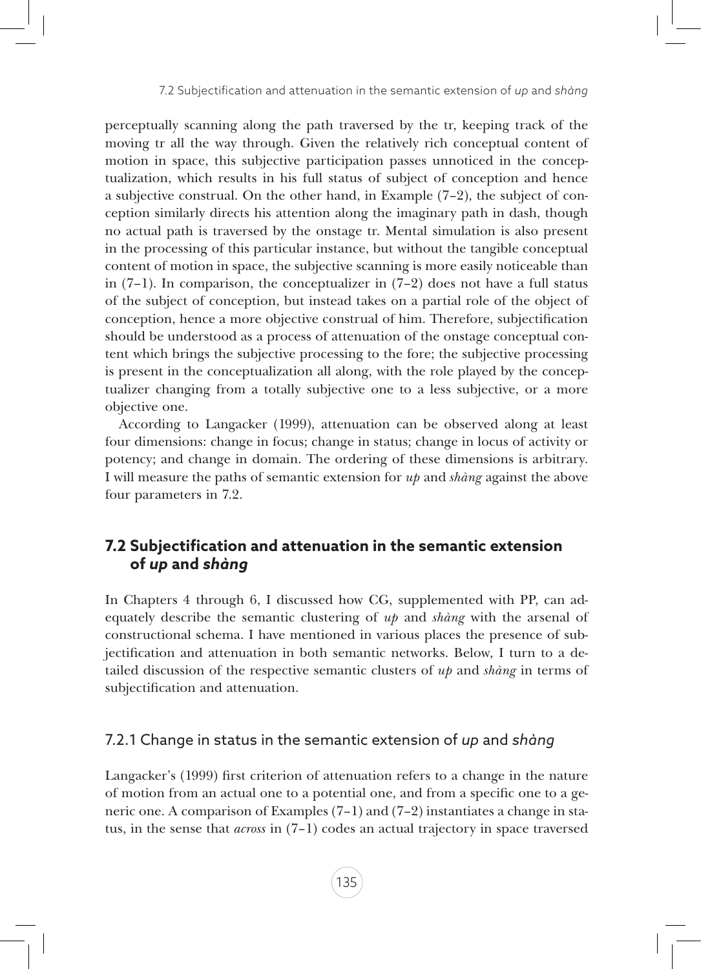perceptually scanning along the path traversed by the tr, keeping track of the moving tr all the way through. Given the relatively rich conceptual content of motion in space, this subjective participation passes unnoticed in the conceptualization, which results in his full status of subject of conception and hence a subjective construal. On the other hand, in Example (7–2), the subject of conception similarly directs his attention along the imaginary path in dash, though no actual path is traversed by the onstage tr. Mental simulation is also present in the processing of this particular instance, but without the tangible conceptual content of motion in space, the subjective scanning is more easily noticeable than in (7–1). In comparison, the conceptualizer in (7–2) does not have a full status of the subject of conception, but instead takes on a partial role of the object of conception, hence a more objective construal of him. Therefore, subjectification should be understood as a process of attenuation of the onstage conceptual content which brings the subjective processing to the fore; the subjective processing is present in the conceptualization all along, with the role played by the conceptualizer changing from a totally subjective one to a less subjective, or a more objective one.

According to Langacker (1999), attenuation can be observed along at least four dimensions: change in focus; change in status; change in locus of activity or potency; and change in domain. The ordering of these dimensions is arbitrary. I will measure the paths of semantic extension for *up* and *shàng* against the above four parameters in 7.2.

# **7.2 Subjectification and attenuation in the semantic extension of** *up* **and** *shàng*

In Chapters 4 through 6, I discussed how CG, supplemented with PP, can adequately describe the semantic clustering of *up* and *shàng* with the arsenal of constructional schema. I have mentioned in various places the presence of subjectification and attenuation in both semantic networks. Below, I turn to a detailed discussion of the respective semantic clusters of *up* and *shàng* in terms of subjectification and attenuation.

## 7.2.1 Change in status in the semantic extension of *up* and *shàng*

Langacker's (1999) first criterion of attenuation refers to a change in the nature of motion from an actual one to a potential one, and from a specific one to a generic one. A comparison of Examples (7–1) and (7–2) instantiates a change in status, in the sense that *across* in (7–1) codes an actual trajectory in space traversed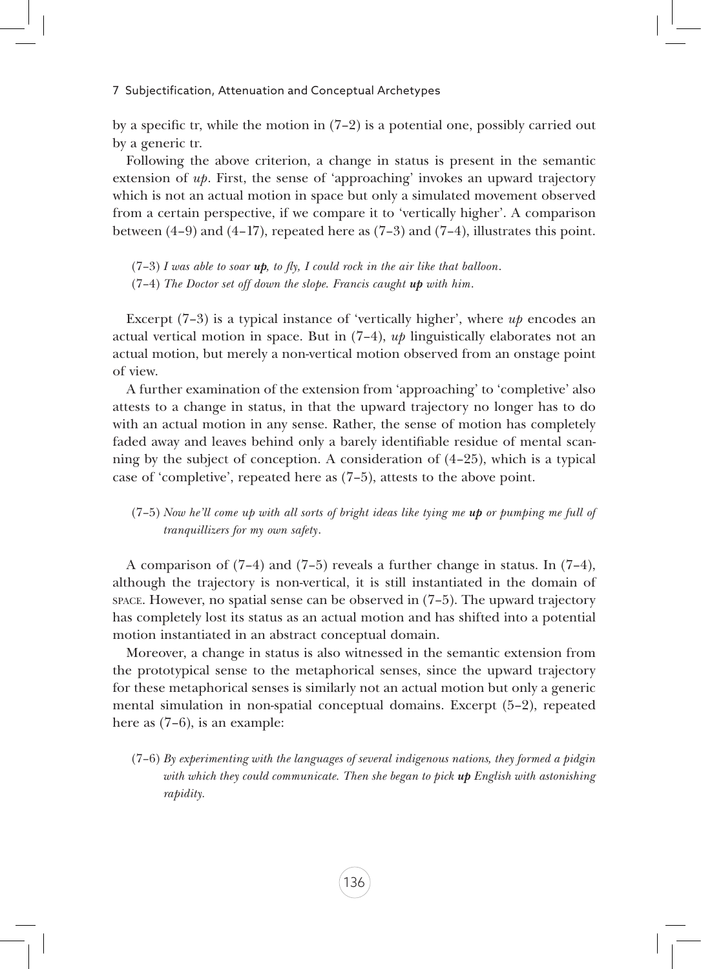by a specific tr, while the motion in  $(7-2)$  is a potential one, possibly carried out by a generic tr.

Following the above criterion, a change in status is present in the semantic extension of *up*. First, the sense of 'approaching' invokes an upward trajectory which is not an actual motion in space but only a simulated movement observed from a certain perspective, if we compare it to 'vertically higher'. A comparison between  $(4-9)$  and  $(4-17)$ , repeated here as  $(7-3)$  and  $(7-4)$ , illustrates this point.

(7–3) *I was able to soar up, to fly, I could rock in the air like that balloon*. (7–4) *The Doctor set off down the slope. Francis caught up with him*.

Excerpt (7–3) is a typical instance of 'vertically higher', where *up* encodes an actual vertical motion in space. But in  $(7-4)$ ,  $up$  linguistically elaborates not an actual motion, but merely a non-vertical motion observed from an onstage point of view.

A further examination of the extension from 'approaching' to 'completive' also attests to a change in status, in that the upward trajectory no longer has to do with an actual motion in any sense. Rather, the sense of motion has completely faded away and leaves behind only a barely identifiable residue of mental scanning by the subject of conception. A consideration of (4–25), which is a typical case of 'completive', repeated here as (7–5), attests to the above point.

#### (7–5) *Now he'll come up with all sorts of bright ideas like tying me up or pumping me full of tranquillizers for my own safety*.

A comparison of (7–4) and (7–5) reveals a further change in status. In (7–4), although the trajectory is non-vertical, it is still instantiated in the domain of space. However, no spatial sense can be observed in (7–5). The upward trajectory has completely lost its status as an actual motion and has shifted into a potential motion instantiated in an abstract conceptual domain.

Moreover, a change in status is also witnessed in the semantic extension from the prototypical sense to the metaphorical senses, since the upward trajectory for these metaphorical senses is similarly not an actual motion but only a generic mental simulation in non-spatial conceptual domains. Excerpt (5–2), repeated here as  $(7-6)$ , is an example:

(7–6) *By experimenting with the languages of several indigenous nations, they formed a pidgin with which they could communicate. Then she began to pick up English with astonishing rapidity.*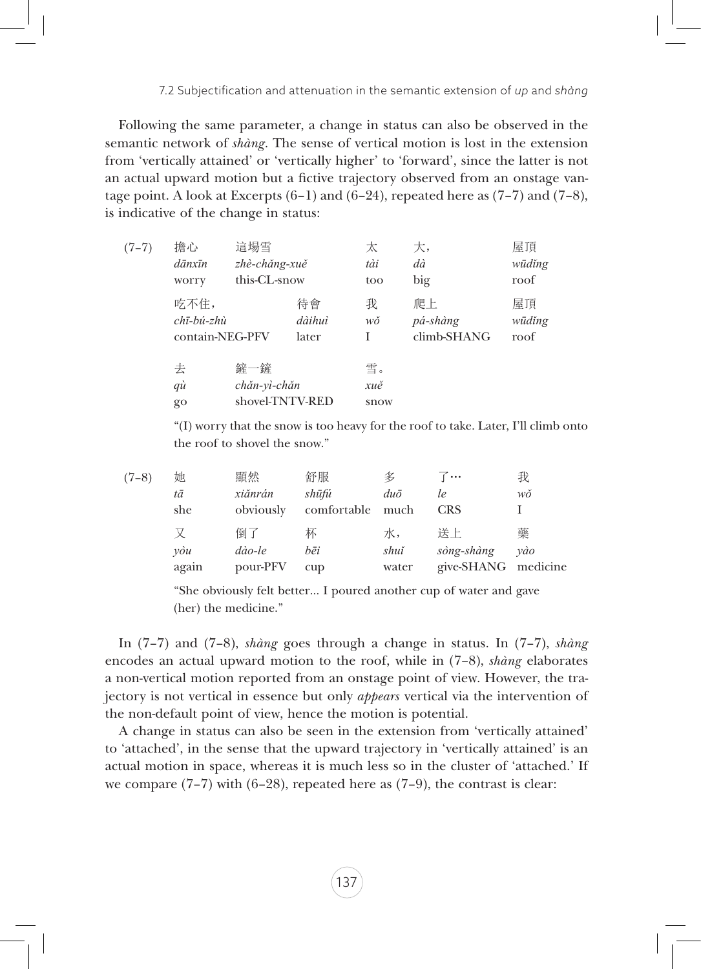Following the same parameter, a change in status can also be observed in the semantic network of *shàng*. The sense of vertical motion is lost in the extension from 'vertically attained' or 'vertically higher' to 'forward', since the latter is not an actual upward motion but a fictive trajectory observed from an onstage vantage point. A look at Excerpts  $(6-1)$  and  $(6-24)$ , repeated here as  $(7-7)$  and  $(7-8)$ , is indicative of the change in status:

| $(7-7)$ | 擔心<br>$d\bar{a}nx\bar{u}n$<br>worry                                   | 這場雪<br>zhè-chăng-xuě<br>this-CL-snow   |                       | 太<br>tài<br>too   | 大,<br>dà<br>big               | 屋頂<br>wūdĭng<br>roof |
|---------|-----------------------------------------------------------------------|----------------------------------------|-----------------------|-------------------|-------------------------------|----------------------|
|         | 吃不住,<br>$ch\bar{\iota}-b\acute{\iota}-zh\grave{u}$<br>contain-NEG-PFV |                                        | 待會<br>dàihuì<br>later | 我<br>wŏ<br>I      | 爬上<br>pá-shàng<br>climb-SHANG | 屋頂<br>wūdĭng<br>roof |
|         | 去<br>qù<br>$g_{O}$                                                    | 鏟一鏟<br>chăn-vì-chăn<br>shovel-TNTV-RED |                       | 雪。<br>xuě<br>snow |                               |                      |

"(I) worry that the snow is too heavy for the roof to take. Later, I'll climb onto the roof to shovel the snow."

| $(7-8)$ | 她<br>tā<br>she            | 顯然<br>xiănrán<br>obviously | 舒服<br>shūfú<br>comfortable | 名<br>$du\bar{o}$<br>much | 7…<br>le<br><b>CRS</b>                  | 我<br>wŏ  |
|---------|---------------------------|----------------------------|----------------------------|--------------------------|-----------------------------------------|----------|
|         | $v\dot{\theta}u$<br>again | 倒了<br>dào-le<br>pour-PFV   | 柇<br>bēi<br>cup            | 水,<br>shuĭ<br>water      | 送上<br>sòng-shàng<br>give-SHANG medicine | 藥<br>vào |

"She obviously felt better… I poured another cup of water and gave (her) the medicine."

In (7–7) and (7–8), *shàng* goes through a change in status. In (7–7), *shàng* encodes an actual upward motion to the roof, while in (7–8), *shàng* elaborates a non-vertical motion reported from an onstage point of view. However, the trajectory is not vertical in essence but only *appears* vertical via the intervention of the non-default point of view, hence the motion is potential.

A change in status can also be seen in the extension from 'vertically attained' to 'attached', in the sense that the upward trajectory in 'vertically attained' is an actual motion in space, whereas it is much less so in the cluster of 'attached.' If we compare  $(7-7)$  with  $(6-28)$ , repeated here as  $(7-9)$ , the contrast is clear: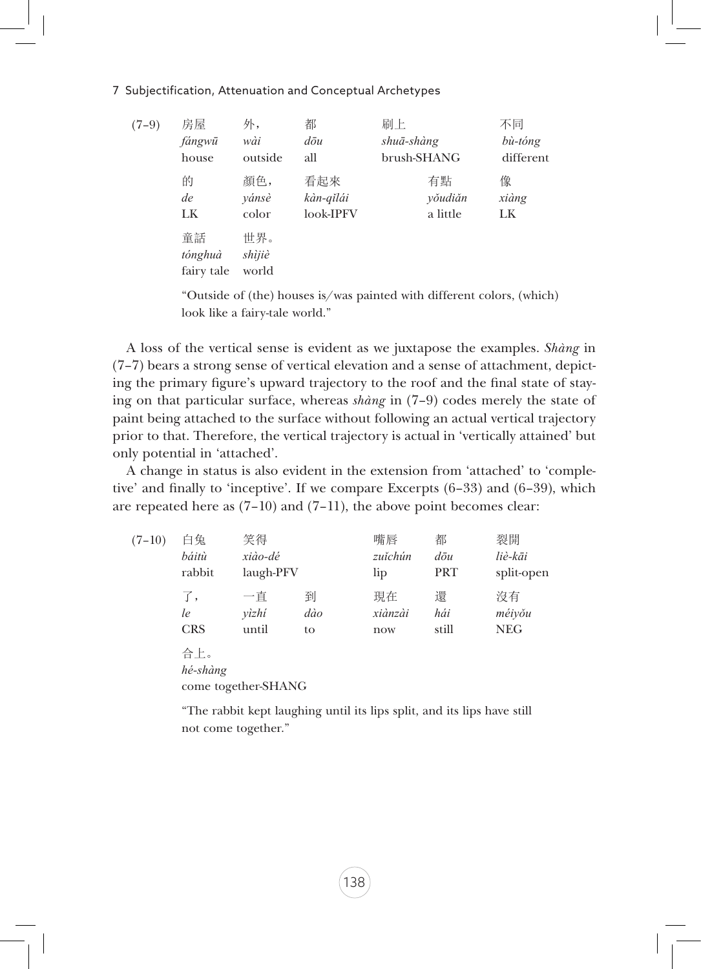#### 7 Subjectification, Attenuation and Conceptual Archetypes

| $(7-9)$ | 房屋                          | 外,                     | 都                 | 刷上          | 不同        |
|---------|-----------------------------|------------------------|-------------------|-------------|-----------|
|         | fángwū                      | wài                    | $d\bar{\sigma}$ u | shuā-shàng  | bù-tóng   |
|         | house                       | outside                | all               | brush-SHANG | different |
|         | 的                           | 顏色,                    | 看起來               | 有點          | 像         |
|         | de                          | yánsè                  | kàn-qĭlái         | yŏudiăn     | xiàng     |
|         | LK                          | color                  | look-IPFV         | a little    | LK        |
|         | 童話<br>tónghuà<br>fairy tale | 世界。<br>shìjiè<br>world |                   |             |           |

"Outside of (the) houses is/was painted with different colors, (which) look like a fairy-tale world."

A loss of the vertical sense is evident as we juxtapose the examples. *Shàng* in (7–7) bears a strong sense of vertical elevation and a sense of attachment, depicting the primary figure's upward trajectory to the roof and the final state of staying on that particular surface, whereas *shàng* in (7–9) codes merely the state of paint being attached to the surface without following an actual vertical trajectory prior to that. Therefore, the vertical trajectory is actual in 'vertically attained' but only potential in 'attached'.

A change in status is also evident in the extension from 'attached' to 'completive' and finally to 'inceptive'. If we compare Excerpts (6–33) and (6–39), which are repeated here as  $(7-10)$  and  $(7-11)$ , the above point becomes clear:

| $(7-10)$ | 白兔<br>báitù<br>rabbit                  | 笑得<br>xiào-dé<br>laugh-PFV |                | 嘴唇<br>zuĭchún<br>lip | 都<br>$d\bar{\sigma}$ u<br><b>PRT</b> | 裂開<br>liè-kāi<br>split-open |  |  |  |
|----------|----------------------------------------|----------------------------|----------------|----------------------|--------------------------------------|-----------------------------|--|--|--|
|          | 了,<br>le<br><b>CRS</b>                 | 一直<br>yìzhi<br>until       | 到<br>dào<br>to | 現在<br>xiànzài<br>now | 還<br>hái<br>still                    | 沒有<br>méiyǒu<br><b>NEG</b>  |  |  |  |
|          | 合上。<br>hé-shàng<br>come together-SHANG |                            |                |                      |                                      |                             |  |  |  |

"The rabbit kept laughing until its lips split, and its lips have still not come together."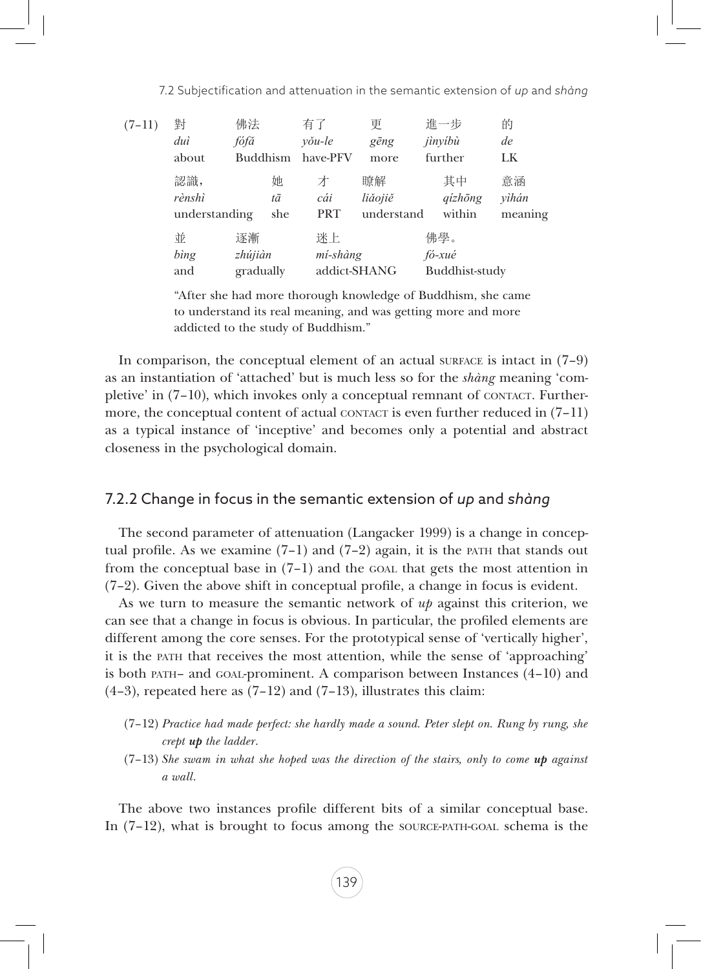| $(7-11)$ | 對<br>duì<br>about              | 佛法<br>fófă<br><b>Buddhism</b> |                | 有了<br>$v\delta u$ -le<br>have-PFV | 更<br>gēng<br>more           | 進一步<br>jìnyíbù<br>further       | 的<br>de<br>LK          |
|----------|--------------------------------|-------------------------------|----------------|-----------------------------------|-----------------------------|---------------------------------|------------------------|
|          | 認識,<br>rènshì<br>understanding |                               | 她<br>tā<br>she | 才<br>cái<br><b>PRT</b>            | 瞭解<br>liăojiě<br>understand | 其中<br>$qizh\bar{o}ng$<br>within | 意涵<br>yìhán<br>meaning |
|          | 並<br>bìng<br>and               | 逐漸<br>zhújiàn<br>gradually    |                | 迷上<br>mí-shàng<br>addict-SHANG    |                             | 佛學。<br>fó-xué<br>Buddhist-study |                        |

"After she had more thorough knowledge of Buddhism, she came to understand its real meaning, and was getting more and more addicted to the study of Buddhism."

In comparison, the conceptual element of an actual surface is intact in  $(7-9)$ as an instantiation of 'attached' but is much less so for the *shàng* meaning 'completive' in  $(7-10)$ , which invokes only a conceptual remnant of contact. Furthermore, the conceptual content of actual contact is even further reduced in  $(7-11)$ as a typical instance of 'inceptive' and becomes only a potential and abstract closeness in the psychological domain.

#### 7.2.2 Change in focus in the semantic extension of *up* and *shàng*

The second parameter of attenuation (Langacker 1999) is a change in conceptual profile. As we examine  $(7-1)$  and  $(7-2)$  again, it is the path that stands out from the conceptual base in  $(7-1)$  and the goal that gets the most attention in (7–2). Given the above shift in conceptual profile, a change in focus is evident.

As we turn to measure the semantic network of *up* against this criterion, we can see that a change in focus is obvious. In particular, the profiled elements are different among the core senses. For the prototypical sense of 'vertically higher', it is the path that receives the most attention, while the sense of 'approaching' is both  $PATH$ – and GOAL-prominent. A comparison between Instances  $(4-10)$  and  $(4-3)$ , repeated here as  $(7-12)$  and  $(7-13)$ , illustrates this claim:

- (7–12) *Practice had made perfect: she hardly made a sound. Peter slept on. Rung by rung, she crept up the ladder*.
- $(7-13)$  *She swam in what she hoped was the direction of the stairs, only to come up against a wall*.

The above two instances profile different bits of a similar conceptual base. In (7–12), what is brought to focus among the source-path-goal schema is the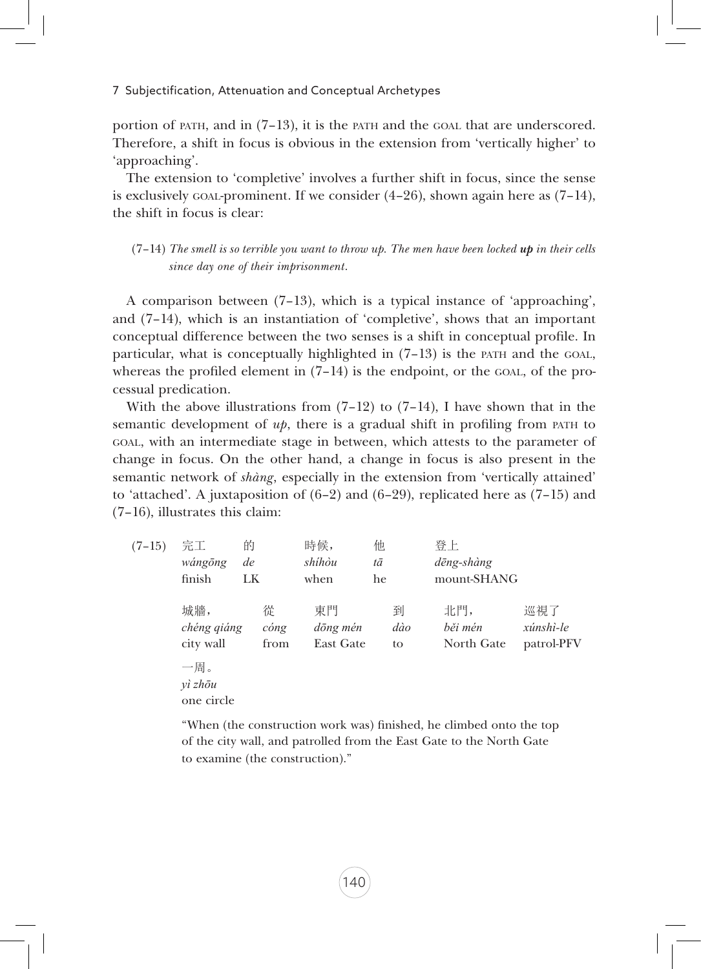portion of path, and in  $(7-13)$ , it is the path and the goal that are underscored. Therefore, a shift in focus is obvious in the extension from 'vertically higher' to 'approaching'.

The extension to 'completive' involves a further shift in focus, since the sense is exclusively goal-prominent. If we consider  $(4-26)$ , shown again here as  $(7-14)$ , the shift in focus is clear:

 $(7-14)$  *The smell is so terrible you want to throw up. The men have been locked up in their cells since day one of their imprisonment*.

A comparison between (7–13), which is a typical instance of 'approaching', and (7–14), which is an instantiation of 'completive', shows that an important conceptual difference between the two senses is a shift in conceptual profile. In particular, what is conceptually highlighted in  $(7-13)$  is the part and the GOAL, whereas the profiled element in  $(7-14)$  is the endpoint, or the GOAL, of the processual predication.

With the above illustrations from  $(7-12)$  to  $(7-14)$ , I have shown that in the semantic development of  $u_p$ , there is a gradual shift in profiling from part to goal, with an intermediate stage in between, which attests to the parameter of change in focus. On the other hand, a change in focus is also present in the semantic network of *shàng*, especially in the extension from 'vertically attained' to 'attached'. A juxtaposition of  $(6-2)$  and  $(6-29)$ , replicated here as  $(7-15)$  and (7–16), illustrates this claim:

| $(7-15)$ | 完工<br>wángōng<br>finish         | 的<br>de<br>LK             | 時候,<br>shíhòu<br>when       | 他<br>tā<br>he  | 登上<br>dēng-shàng<br>mount-SHANG |                                |
|----------|---------------------------------|---------------------------|-----------------------------|----------------|---------------------------------|--------------------------------|
|          | 城牆,<br>chéng qiáng<br>city wall | 從<br>$\dot{comp}$<br>from | 東門<br>dōng mén<br>East Gate | 到<br>dào<br>to | 北門,<br>běi mén<br>North Gate    | 巡視了<br>xúnshì-le<br>patrol-PFV |
|          | 一周。<br>$v$ ì zhōu<br>one circle |                           |                             |                |                                 |                                |

"When (the construction work was) finished, he climbed onto the top of the city wall, and patrolled from the East Gate to the North Gate to examine (the construction)."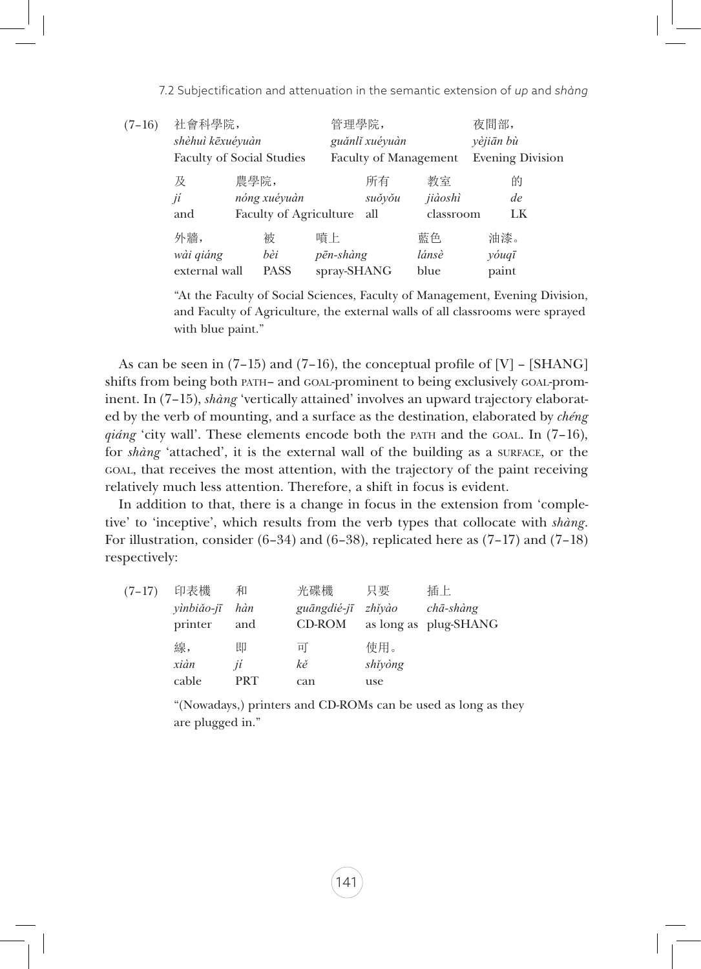7.2 Subjectification and attenuation in the semantic extension of *up* and *shàng*

| $(7-16)$ | 社會科學院,                           |      |                               | 管理學院,                        |                |           | 夜間部,                    |  |
|----------|----------------------------------|------|-------------------------------|------------------------------|----------------|-----------|-------------------------|--|
|          | shèhuì kēxuéyuàn                 |      |                               |                              | guănli xuéyuàn |           | yèjiān bù               |  |
|          | <b>Faculty of Social Studies</b> |      |                               | <b>Faculty of Management</b> |                |           | <b>Evening Division</b> |  |
|          | 及                                | 農學院, |                               |                              | 所有             | 教室        | 的                       |  |
|          | jí                               |      | nóng xuéyuàn                  |                              | suŏyŏu         | jiàoshì   | de                      |  |
|          | and                              |      | <b>Faculty of Agriculture</b> |                              | all            | classroom | LK                      |  |
|          | 外牆,                              |      | 被                             | 暗上                           |                | 藍色        | 油漆。                     |  |
|          | wài qiáng                        |      | bèi                           | pēn-shàng                    |                | lánsè     | yóuqī                   |  |
|          | external wall                    |      | <b>PASS</b>                   | spray-SHANG                  |                | blue      | paint                   |  |
|          |                                  |      |                               |                              |                |           |                         |  |

"At the Faculty of Social Sciences, Faculty of Management, Evening Division, and Faculty of Agriculture, the external walls of all classrooms were sprayed with blue paint."

As can be seen in  $(7-15)$  and  $(7-16)$ , the conceptual profile of  $[V]$  –  $[SHANG]$ shifts from being both path– and goal-prominent to being exclusively goal-prominent. In (7–15), *shàng* 'vertically attained' involves an upward trajectory elaborated by the verb of mounting, and a surface as the destination, elaborated by *chéng qiáng* 'city wall'. These elements encode both the path and the GOAL. In (7–16), for *shàng* 'attached', it is the external wall of the building as a surface, or the goal, that receives the most attention, with the trajectory of the paint receiving relatively much less attention. Therefore, a shift in focus is evident.

In addition to that, there is a change in focus in the extension from 'completive' to 'inceptive', which results from the verb types that collocate with *shàng*. For illustration, consider  $(6-34)$  and  $(6-38)$ , replicated here as  $(7-17)$  and  $(7-18)$ respectively:

|          | 線,<br>xiàn<br>cable          | 即<br>jí<br><b>PRT</b> | 耳<br>kě<br>can               | 使用。<br>shĭyòng<br>use |                                                   |
|----------|------------------------------|-----------------------|------------------------------|-----------------------|---------------------------------------------------|
| $(7-17)$ | 印表機<br>yìnbiǎo-jī<br>printer | 和<br>hàn<br>and       | 光碟機<br>guāngdié-jī<br>CD-ROM | 只要<br>zhĭyào          | 插上<br>$ch\bar{a}$ -shàng<br>as long as plug-SHANG |

"(Nowadays,) printers and CD-ROMs can be used as long as they are plugged in."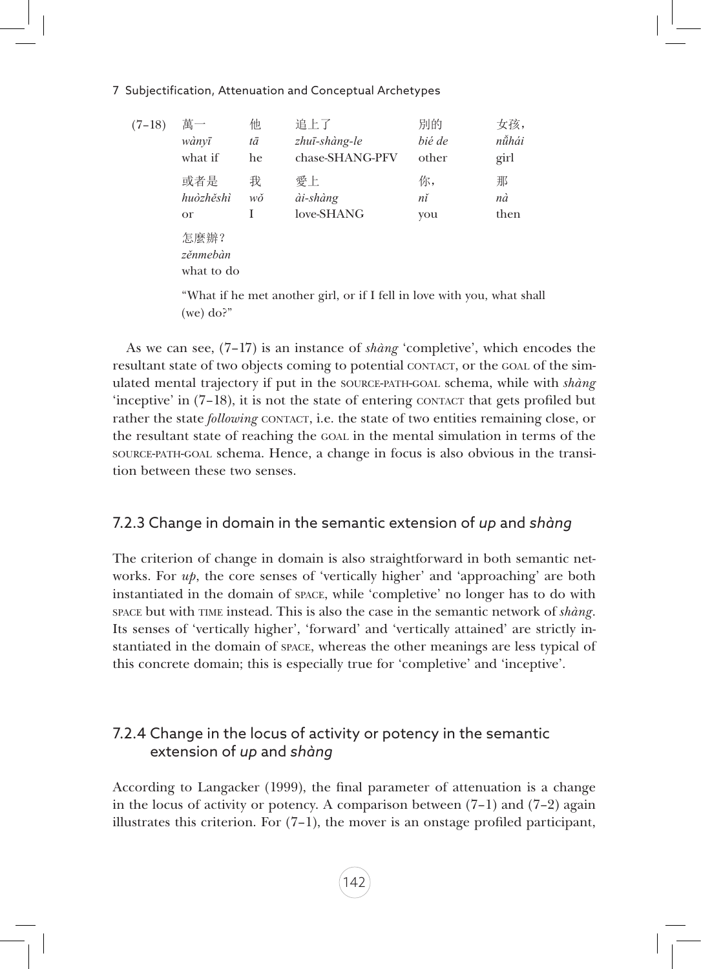#### 7 Subjectification, Attenuation and Conceptual Archetypes

| $(7-18)$ | 萬一                             | 他  | 追上了             | 別的     | 女孩,   |
|----------|--------------------------------|----|-----------------|--------|-------|
|          | wànvī                          | tā | zhuī-shàng-le   | bié de | nǚhái |
|          | what if                        | he | chase-SHANG-PFV | other  | girl  |
|          | 或者是                            | 我  | 愛上              | 你,     | 那     |
|          | huòzhěshì                      | wŏ | ài-shàng        | nĭ     | nà    |
|          | <b>or</b>                      | I  | love-SHANG      | you    | then  |
|          | 怎麼辦?<br>zěnmebàn<br>what to do |    |                 |        |       |

"What if he met another girl, or if I fell in love with you, what shall (we) do?"

As we can see, (7–17) is an instance of *shàng* 'completive', which encodes the resultant state of two objects coming to potential contact, or the goal of the simulated mental trajectory if put in the source-path-goal schema, while with *shàng* 'inceptive' in  $(7-18)$ , it is not the state of entering contact that gets profiled but rather the state *following* CONTACT, i.e. the state of two entities remaining close, or the resultant state of reaching the goal in the mental simulation in terms of the source-path-goal schema. Hence, a change in focus is also obvious in the transition between these two senses.

## 7.2.3 Change in domain in the semantic extension of *up* and *shàng*

The criterion of change in domain is also straightforward in both semantic networks. For *up*, the core senses of 'vertically higher' and 'approaching' are both instantiated in the domain of space, while 'completive' no longer has to do with space but with time instead. This is also the case in the semantic network of *shàng*. Its senses of 'vertically higher', 'forward' and 'vertically attained' are strictly instantiated in the domain of space, whereas the other meanings are less typical of this concrete domain; this is especially true for 'completive' and 'inceptive'.

# 7.2.4 Change in the locus of activity or potency in the semantic extension of *up* and *shàng*

According to Langacker (1999), the final parameter of attenuation is a change in the locus of activity or potency. A comparison between  $(7-1)$  and  $(7-2)$  again illustrates this criterion. For  $(7-1)$ , the mover is an onstage profiled participant,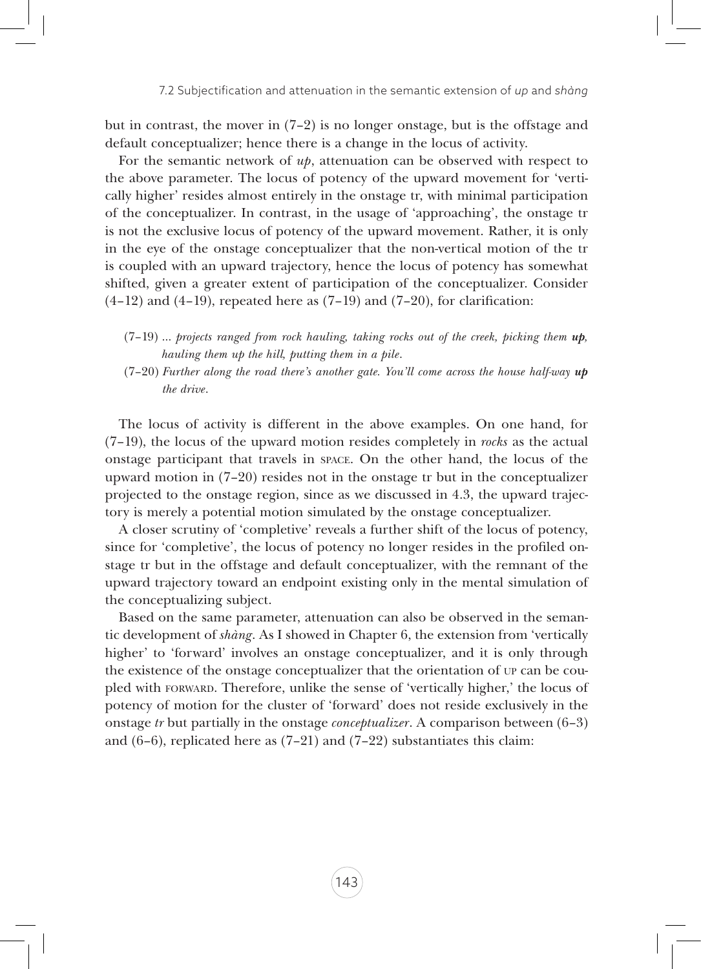but in contrast, the mover in (7–2) is no longer onstage, but is the offstage and default conceptualizer; hence there is a change in the locus of activity.

For the semantic network of *up*, attenuation can be observed with respect to the above parameter. The locus of potency of the upward movement for 'vertically higher' resides almost entirely in the onstage tr, with minimal participation of the conceptualizer. In contrast, in the usage of 'approaching', the onstage tr is not the exclusive locus of potency of the upward movement. Rather, it is only in the eye of the onstage conceptualizer that the non-vertical motion of the tr is coupled with an upward trajectory, hence the locus of potency has somewhat shifted, given a greater extent of participation of the conceptualizer. Consider  $(4-12)$  and  $(4-19)$ , repeated here as  $(7-19)$  and  $(7-20)$ , for clarification:

- (7–19) … *projects ranged from rock hauling, taking rocks out of the creek, picking them up, hauling them up the hill, putting them in a pile*.
- (7–20) *Further along the road there's another gate. You'll come across the house half-way up the drive*.

The locus of activity is different in the above examples. On one hand, for (7–19), the locus of the upward motion resides completely in *rocks* as the actual onstage participant that travels in space. On the other hand, the locus of the upward motion in (7–20) resides not in the onstage tr but in the conceptualizer projected to the onstage region, since as we discussed in 4.3, the upward trajectory is merely a potential motion simulated by the onstage conceptualizer.

A closer scrutiny of 'completive' reveals a further shift of the locus of potency, since for 'completive', the locus of potency no longer resides in the profiled onstage tr but in the offstage and default conceptualizer, with the remnant of the upward trajectory toward an endpoint existing only in the mental simulation of the conceptualizing subject.

Based on the same parameter, attenuation can also be observed in the semantic development of *shàng*. As I showed in Chapter 6, the extension from 'vertically higher' to 'forward' involves an onstage conceptualizer, and it is only through the existence of the onstage conceptualizer that the orientation of up can be coupled with forward. Therefore, unlike the sense of 'vertically higher,' the locus of potency of motion for the cluster of 'forward' does not reside exclusively in the onstage *tr* but partially in the onstage *conceptualizer*. A comparison between (6–3) and  $(6-6)$ , replicated here as  $(7-21)$  and  $(7-22)$  substantiates this claim: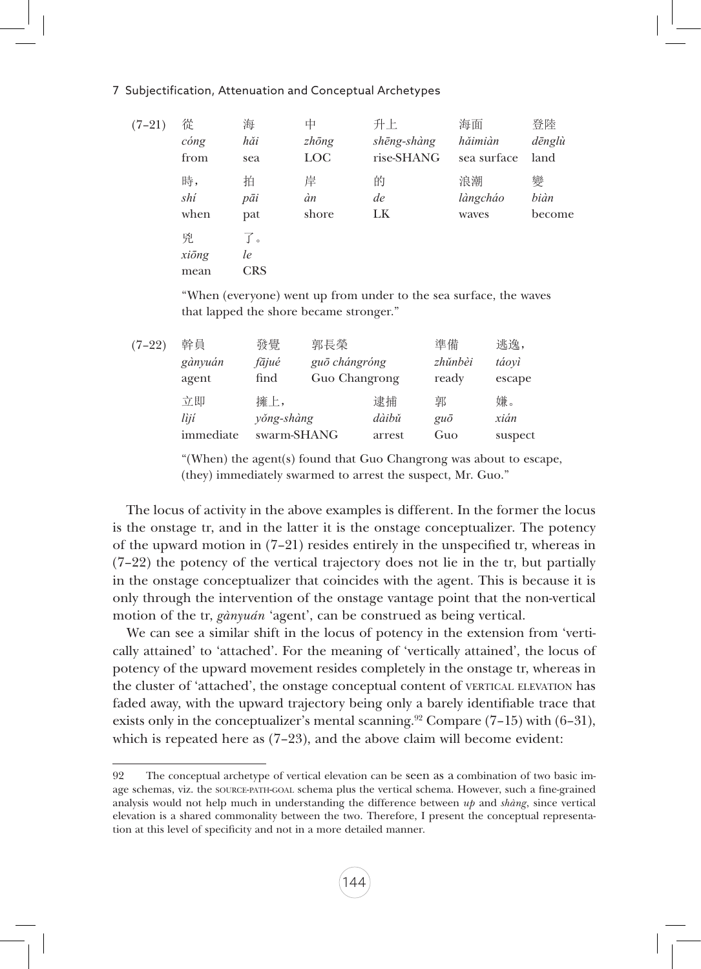#### 7 Subjectification, Attenuation and Conceptual Archetypes

| $(7-21)$ | 從                   | 海                      | 中             | 升上          | 海面          | 登陸     |
|----------|---------------------|------------------------|---------------|-------------|-------------|--------|
|          | $\omega$ <i>ong</i> | hăi                    | $zh\bar{o}ng$ | shēng-shàng | hăimiàn     | dēnglù |
|          | from                | sea                    | <b>LOC</b>    | rise-SHANG  | sea surface | land   |
|          | 時,                  | 拍                      | 岸             | 的           | 浪潮          | 變      |
|          | shí                 | pāi                    | àn            | de          | làngcháo    | biàn   |
|          | when                | pat                    | shore         | LK          | waves       | become |
|          | 兇<br>xiōng<br>mean  | 了。<br>le<br><b>CRS</b> |               |             |             |        |

"When (everyone) went up from under to the sea surface, the waves that lapped the shore became stronger."

| $(7-22)$ | 幹員        | 發覺          | 郭長榮           |        | 準備          | 逃逸,     |
|----------|-----------|-------------|---------------|--------|-------------|---------|
|          | gànyuán   | fājué       | guō chángróng |        | zhŭnbèi     | táovì   |
|          | agent     | find        | Guo Changrong |        | ready       | escape  |
|          | 立即        | 擁上,         |               | 逮捕     | 郭           | 嫌。      |
|          | lìjí      | yŏng-shàng  |               | dàibǔ  | $gu\bar{o}$ | xián    |
|          | immediate | swarm-SHANG |               | arrest | Guo         | suspect |
|          |           |             |               |        |             |         |

"(When) the agent(s) found that Guo Changrong was about to escape, (they) immediately swarmed to arrest the suspect, Mr. Guo."

The locus of activity in the above examples is different. In the former the locus is the onstage tr, and in the latter it is the onstage conceptualizer. The potency of the upward motion in (7–21) resides entirely in the unspecified tr, whereas in (7–22) the potency of the vertical trajectory does not lie in the tr, but partially in the onstage conceptualizer that coincides with the agent. This is because it is only through the intervention of the onstage vantage point that the non-vertical motion of the tr, *gànyuán* 'agent', can be construed as being vertical.

We can see a similar shift in the locus of potency in the extension from 'vertically attained' to 'attached'. For the meaning of 'vertically attained', the locus of potency of the upward movement resides completely in the onstage tr, whereas in the cluster of 'attached', the onstage conceptual content of vertical elevation has faded away, with the upward trajectory being only a barely identifiable trace that exists only in the conceptualizer's mental scanning.<sup>92</sup> Compare  $(7-15)$  with  $(6-31)$ , which is repeated here as  $(7-23)$ , and the above claim will become evident:

<sup>92</sup> The conceptual archetype of vertical elevation can be seen as a combination of two basic image schemas, viz. the source-path-goal schema plus the vertical schema. However, such a fine-grained analysis would not help much in understanding the difference between *up* and *shàng*, since vertical elevation is a shared commonality between the two. Therefore, I present the conceptual representation at this level of specificity and not in a more detailed manner.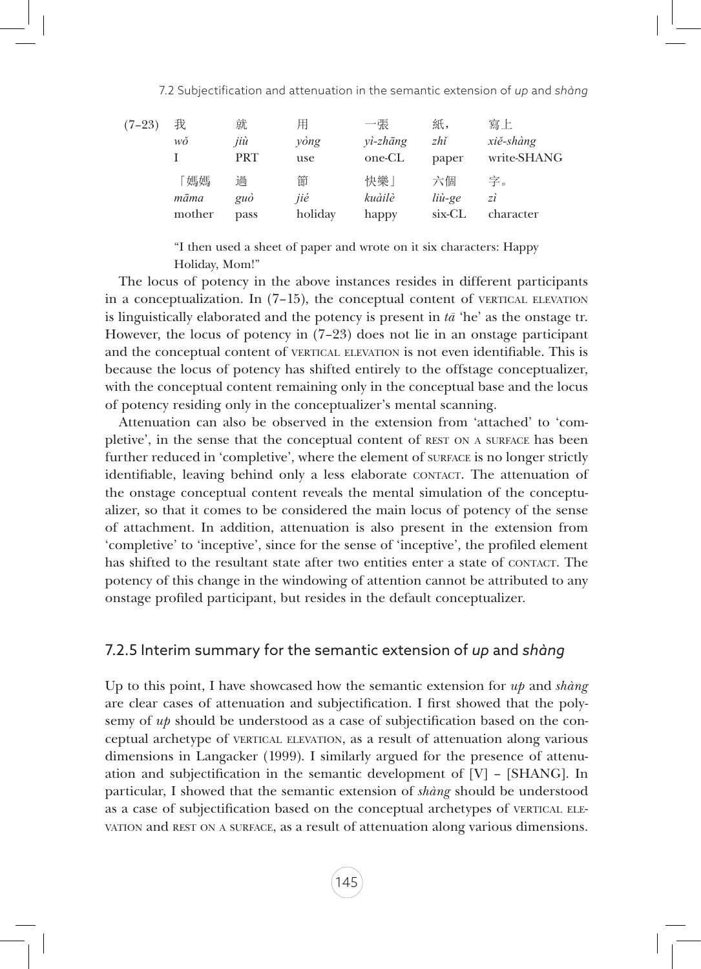| $(7-23)$ | 我      | 就          | 用       | 一張          | 紙,     | 寫上          |
|----------|--------|------------|---------|-------------|--------|-------------|
|          | wŏ     | jiù        | yòng    | $vi$ -zhāng | zhĭ    | xiě-shàng   |
|          |        | <b>PRT</b> | use     | one-CL      | paper  | write-SHANG |
|          | 「媽媽    | 過          | 節       | 快樂          | 六個     | 字。          |
|          | māma   | guò        | jié     | kuàilè      | liù-ge | zi          |
|          | mother | pass       | holiday | happy       | six-CL | character   |

"I then used a sheet of paper and wrote on it six characters: Happy Holiday, Mom!"

The locus of potency in the above instances resides in different participants in a conceptualization. In  $(7-15)$ , the conceptual content of VERTICAL ELEVATION is linguistically elaborated and the potency is present in *tā* 'he' as the onstage tr. However, the locus of potency in (7–23) does not lie in an onstage participant and the conceptual content of VERTICAL ELEVATION is not even identifiable. This is because the locus of potency has shifted entirely to the offstage conceptualizer, with the conceptual content remaining only in the conceptual base and the locus of potency residing only in the conceptualizer's mental scanning.

Attenuation can also be observed in the extension from 'attached' to 'completive', in the sense that the conceptual content of REST ON A SURFACE has been further reduced in 'completive', where the element of surface is no longer strictly identifiable, leaving behind only a less elaborate CONTACT. The attenuation of the onstage conceptual content reveals the mental simulation of the conceptualizer, so that it comes to be considered the main locus of potency of the sense of attachment. In addition, attenuation is also present in the extension from 'completive' to 'inceptive', since for the sense of 'inceptive', the profiled element has shifted to the resultant state after two entities enter a state of CONTACT. The potency of this change in the windowing of attention cannot be attributed to any onstage profiled participant, but resides in the default conceptualizer.

#### 7.2.5 Interim summary for the semantic extension of *up* and *shàng*

Up to this point, I have showcased how the semantic extension for *up* and *shàng* are clear cases of attenuation and subjectification. I first showed that the polysemy of *up* should be understood as a case of subjectification based on the conceptual archetype of vertical elevation, as a result of attenuation along various dimensions in Langacker (1999). I similarly argued for the presence of attenuation and subjectification in the semantic development of [V] – [SHANG]. In particular, I showed that the semantic extension of *shàng* should be understood as a case of subjectification based on the conceptual archetypes of VERTICAL ELEvation and rest on <sup>a</sup> surface, as a result of attenuation along various dimensions.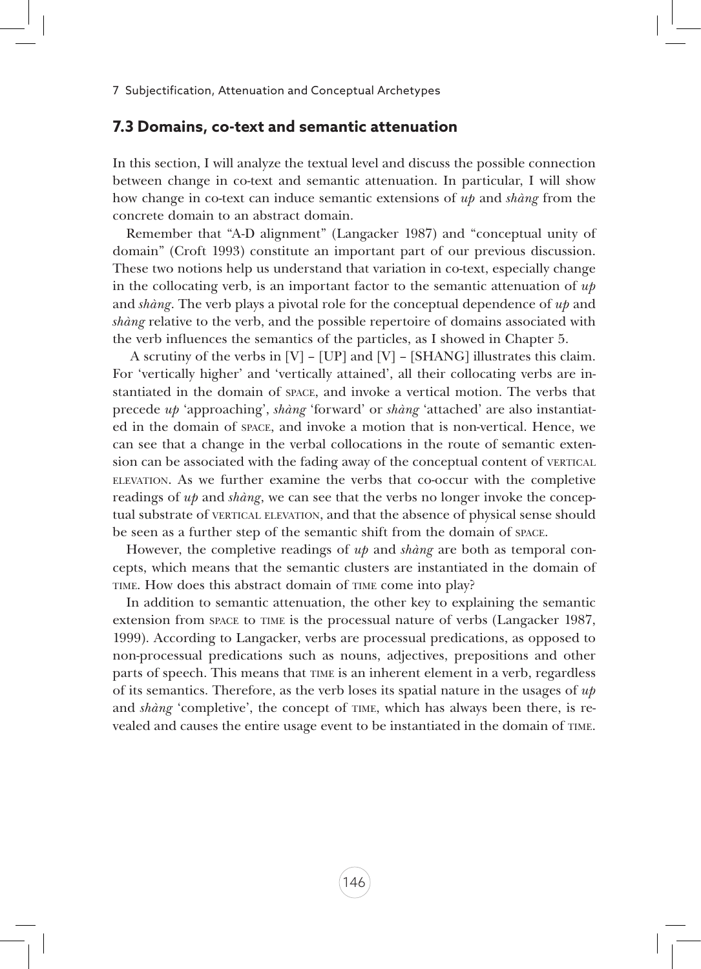#### **7.3 Domains, co-text and semantic attenuation**

In this section, I will analyze the textual level and discuss the possible connection between change in co-text and semantic attenuation. In particular, I will show how change in co-text can induce semantic extensions of *up* and *shàng* from the concrete domain to an abstract domain.

Remember that "A-D alignment" (Langacker 1987) and "conceptual unity of domain" (Croft 1993) constitute an important part of our previous discussion. These two notions help us understand that variation in co-text, especially change in the collocating verb, is an important factor to the semantic attenuation of *up* and *shàng*. The verb plays a pivotal role for the conceptual dependence of *up* and *shàng* relative to the verb, and the possible repertoire of domains associated with the verb influences the semantics of the particles, as I showed in Chapter 5.

 A scrutiny of the verbs in [V] – [UP] and [V] – [SHANG] illustrates this claim. For 'vertically higher' and 'vertically attained', all their collocating verbs are instantiated in the domain of space, and invoke a vertical motion. The verbs that precede *up* 'approaching', *shàng* 'forward' or *shàng* 'attached' are also instantiated in the domain of space, and invoke a motion that is non-vertical. Hence, we can see that a change in the verbal collocations in the route of semantic extension can be associated with the fading away of the conceptual content of vertical elevation. As we further examine the verbs that co-occur with the completive readings of *up* and *shàng*, we can see that the verbs no longer invoke the conceptual substrate of VERTICAL ELEVATION, and that the absence of physical sense should be seen as a further step of the semantic shift from the domain of space.

However, the completive readings of *up* and *shàng* are both as temporal concepts, which means that the semantic clusters are instantiated in the domain of TIME. How does this abstract domain of TIME come into play?

In addition to semantic attenuation, the other key to explaining the semantic extension from space to time is the processual nature of verbs (Langacker 1987, 1999). According to Langacker, verbs are processual predications, as opposed to non-processual predications such as nouns, adjectives, prepositions and other parts of speech. This means that time is an inherent element in a verb, regardless of its semantics. Therefore, as the verb loses its spatial nature in the usages of *up* and *shàng* 'completive', the concept of TIME, which has always been there, is revealed and causes the entire usage event to be instantiated in the domain of time.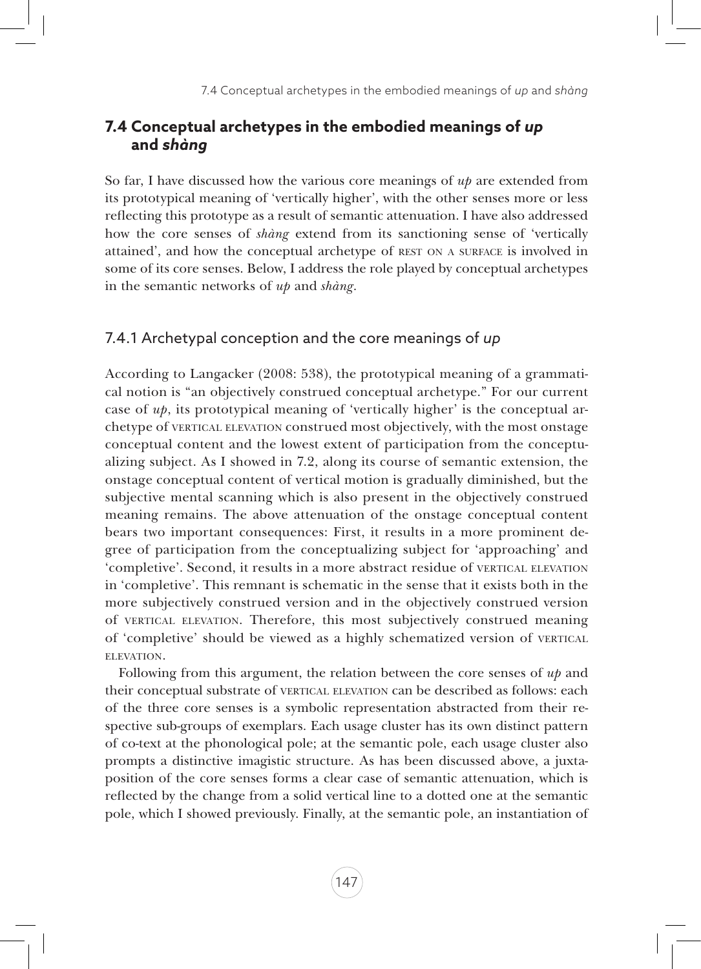# **7.4 Conceptual archetypes in the embodied meanings of** *up* **and** *shàng*

So far, I have discussed how the various core meanings of *up* are extended from its prototypical meaning of 'vertically higher', with the other senses more or less reflecting this prototype as a result of semantic attenuation. I have also addressed how the core senses of *shàng* extend from its sanctioning sense of 'vertically attained', and how the conceptual archetype of REST ON A SURFACE is involved in some of its core senses. Below, I address the role played by conceptual archetypes in the semantic networks of *up* and *shàng*.

# 7.4.1 Archetypal conception and the core meanings of *up*

According to Langacker (2008: 538), the prototypical meaning of a grammatical notion is "an objectively construed conceptual archetype." For our current case of *up*, its prototypical meaning of 'vertically higher' is the conceptual archetype of VERTICAL ELEVATION construed most objectively, with the most onstage conceptual content and the lowest extent of participation from the conceptualizing subject. As I showed in 7.2, along its course of semantic extension, the onstage conceptual content of vertical motion is gradually diminished, but the subjective mental scanning which is also present in the objectively construed meaning remains. The above attenuation of the onstage conceptual content bears two important consequences: First, it results in a more prominent degree of participation from the conceptualizing subject for 'approaching' and 'completive'. Second, it results in a more abstract residue of VERTICAL ELEVATION in 'completive'. This remnant is schematic in the sense that it exists both in the more subjectively construed version and in the objectively construed version of vertical elevation. Therefore, this most subjectively construed meaning of 'completive' should be viewed as a highly schematized version of vertical ELEVATION.

Following from this argument, the relation between the core senses of *up* and their conceptual substrate of VERTICAL ELEVATION can be described as follows: each of the three core senses is a symbolic representation abstracted from their respective sub-groups of exemplars. Each usage cluster has its own distinct pattern of co-text at the phonological pole; at the semantic pole, each usage cluster also prompts a distinctive imagistic structure. As has been discussed above, a juxtaposition of the core senses forms a clear case of semantic attenuation, which is reflected by the change from a solid vertical line to a dotted one at the semantic pole, which I showed previously. Finally, at the semantic pole, an instantiation of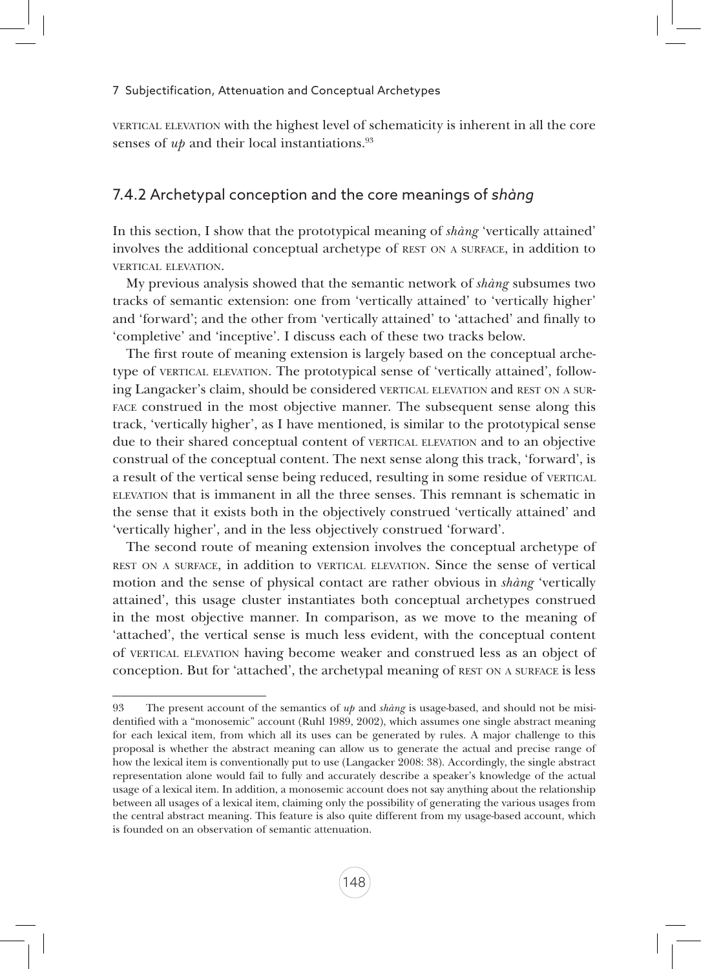vertical elevation with the highest level of schematicity is inherent in all the core senses of *up* and their local instantiations.<sup>93</sup>

# 7.4.2 Archetypal conception and the core meanings of *shàng*

In this section, I show that the prototypical meaning of *shàng* 'vertically attained' involves the additional conceptual archetype of rest on <sup>a</sup> surface, in addition to vertical elevation.

My previous analysis showed that the semantic network of *shàng* subsumes two tracks of semantic extension: one from 'vertically attained' to 'vertically higher' and 'forward'; and the other from 'vertically attained' to 'attached' and finally to 'completive' and 'inceptive'. I discuss each of these two tracks below.

The first route of meaning extension is largely based on the conceptual archetype of vertical elevation. The prototypical sense of 'vertically attained', following Langacker's claim, should be considered VERTICAL ELEVATION and REST ON A SURface construed in the most objective manner. The subsequent sense along this track, 'vertically higher', as I have mentioned, is similar to the prototypical sense due to their shared conceptual content of vertical elevation and to an objective construal of the conceptual content. The next sense along this track, 'forward', is a result of the vertical sense being reduced, resulting in some residue of vertical elevation that is immanent in all the three senses. This remnant is schematic in the sense that it exists both in the objectively construed 'vertically attained' and 'vertically higher', and in the less objectively construed 'forward'.

The second route of meaning extension involves the conceptual archetype of rest on <sup>a</sup> surface, in addition to vertical elevation. Since the sense of vertical motion and the sense of physical contact are rather obvious in *shàng* 'vertically attained', this usage cluster instantiates both conceptual archetypes construed in the most objective manner. In comparison, as we move to the meaning of 'attached', the vertical sense is much less evident, with the conceptual content of vertical elevation having become weaker and construed less as an object of conception. But for 'attached', the archetypal meaning of rest on <sup>a</sup> surface is less

<sup>93</sup> The present account of the semantics of *up* and *shàng* is usage-based, and should not be misidentified with a "monosemic" account (Ruhl 1989, 2002), which assumes one single abstract meaning for each lexical item, from which all its uses can be generated by rules. A major challenge to this proposal is whether the abstract meaning can allow us to generate the actual and precise range of how the lexical item is conventionally put to use (Langacker 2008: 38). Accordingly, the single abstract representation alone would fail to fully and accurately describe a speaker's knowledge of the actual usage of a lexical item. In addition, a monosemic account does not say anything about the relationship between all usages of a lexical item, claiming only the possibility of generating the various usages from the central abstract meaning. This feature is also quite different from my usage-based account, which is founded on an observation of semantic attenuation.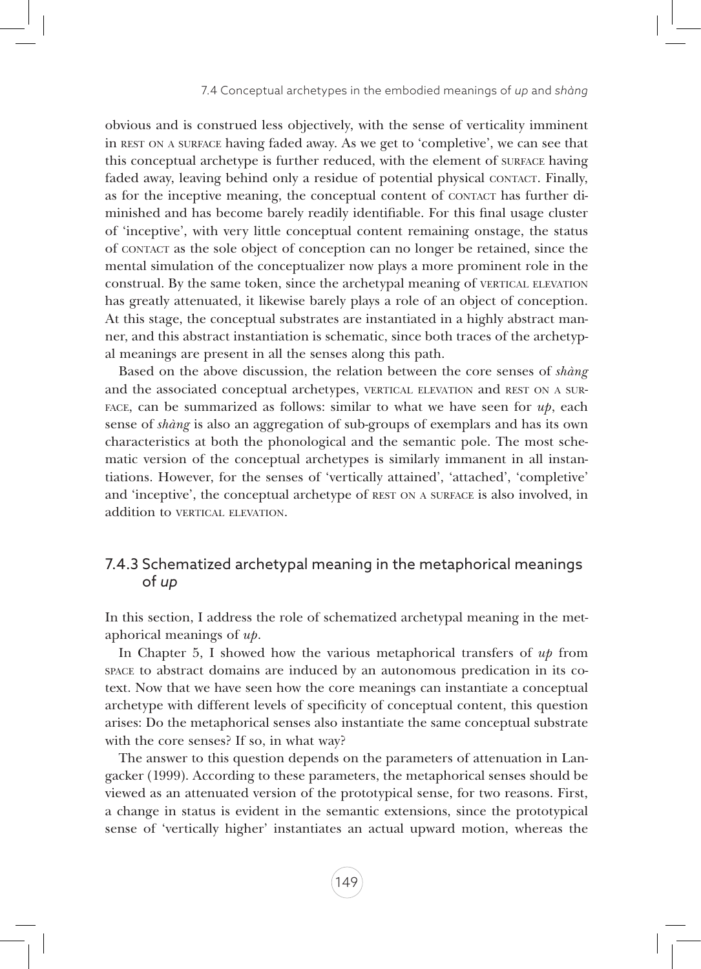obvious and is construed less objectively, with the sense of verticality imminent in rest on <sup>a</sup> surface having faded away. As we get to 'completive', we can see that this conceptual archetype is further reduced, with the element of surface having faded away, leaving behind only a residue of potential physical contact. Finally, as for the inceptive meaning, the conceptual content of contact has further diminished and has become barely readily identifiable. For this final usage cluster of 'inceptive', with very little conceptual content remaining onstage, the status of contact as the sole object of conception can no longer be retained, since the mental simulation of the conceptualizer now plays a more prominent role in the construal. By the same token, since the archetypal meaning of VERTICAL ELEVATION has greatly attenuated, it likewise barely plays a role of an object of conception. At this stage, the conceptual substrates are instantiated in a highly abstract manner, and this abstract instantiation is schematic, since both traces of the archetypal meanings are present in all the senses along this path.

Based on the above discussion, the relation between the core senses of *shàng* and the associated conceptual archetypes, VERTICAL ELEVATION and REST ON A SUR-FACE, can be summarized as follows: similar to what we have seen for  $u\psi$ , each sense of *shàng* is also an aggregation of sub-groups of exemplars and has its own characteristics at both the phonological and the semantic pole. The most schematic version of the conceptual archetypes is similarly immanent in all instantiations. However, for the senses of 'vertically attained', 'attached', 'completive' and 'inceptive', the conceptual archetype of rest on <sup>a</sup> surface is also involved, in addition to VERTICAL ELEVATION.

# 7.4.3 Schematized archetypal meaning in the metaphorical meanings of *up*

In this section, I address the role of schematized archetypal meaning in the metaphorical meanings of *up*.

In Chapter 5, I showed how the various metaphorical transfers of *up* from space to abstract domains are induced by an autonomous predication in its cotext. Now that we have seen how the core meanings can instantiate a conceptual archetype with different levels of specificity of conceptual content, this question arises: Do the metaphorical senses also instantiate the same conceptual substrate with the core senses? If so, in what way?

The answer to this question depends on the parameters of attenuation in Langacker (1999). According to these parameters, the metaphorical senses should be viewed as an attenuated version of the prototypical sense, for two reasons. First, a change in status is evident in the semantic extensions, since the prototypical sense of 'vertically higher' instantiates an actual upward motion, whereas the